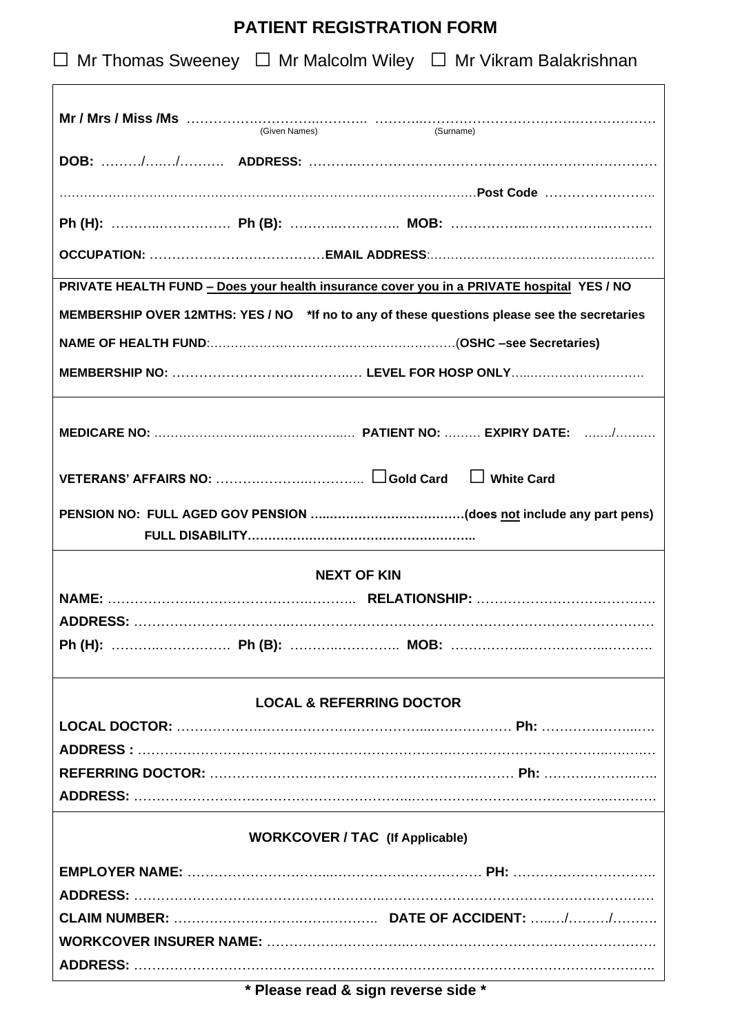# **PATIENT REGISTRATION FORM**

| $\Box$ Mr Thomas Sweeney $\Box$ Mr Malcolm Wiley $\Box$ Mr Vikram Balakrishnan               |  |  |  |  |  |
|----------------------------------------------------------------------------------------------|--|--|--|--|--|
|                                                                                              |  |  |  |  |  |
|                                                                                              |  |  |  |  |  |
|                                                                                              |  |  |  |  |  |
|                                                                                              |  |  |  |  |  |
|                                                                                              |  |  |  |  |  |
| PRIVATE HEALTH FUND - Does your health insurance cover you in a PRIVATE hospital YES / NO    |  |  |  |  |  |
| MEMBERSHIP OVER 12MTHS: YES / NO *If no to any of these questions please see the secretaries |  |  |  |  |  |
|                                                                                              |  |  |  |  |  |
|                                                                                              |  |  |  |  |  |
|                                                                                              |  |  |  |  |  |
|                                                                                              |  |  |  |  |  |
|                                                                                              |  |  |  |  |  |
| <b>NEXT OF KIN</b>                                                                           |  |  |  |  |  |
|                                                                                              |  |  |  |  |  |
|                                                                                              |  |  |  |  |  |
|                                                                                              |  |  |  |  |  |
| <b>LOCAL &amp; REFERRING DOCTOR</b>                                                          |  |  |  |  |  |
|                                                                                              |  |  |  |  |  |
|                                                                                              |  |  |  |  |  |
|                                                                                              |  |  |  |  |  |
|                                                                                              |  |  |  |  |  |
| <b>WORKCOVER / TAC (If Applicable)</b>                                                       |  |  |  |  |  |
|                                                                                              |  |  |  |  |  |
|                                                                                              |  |  |  |  |  |
|                                                                                              |  |  |  |  |  |
|                                                                                              |  |  |  |  |  |
|                                                                                              |  |  |  |  |  |